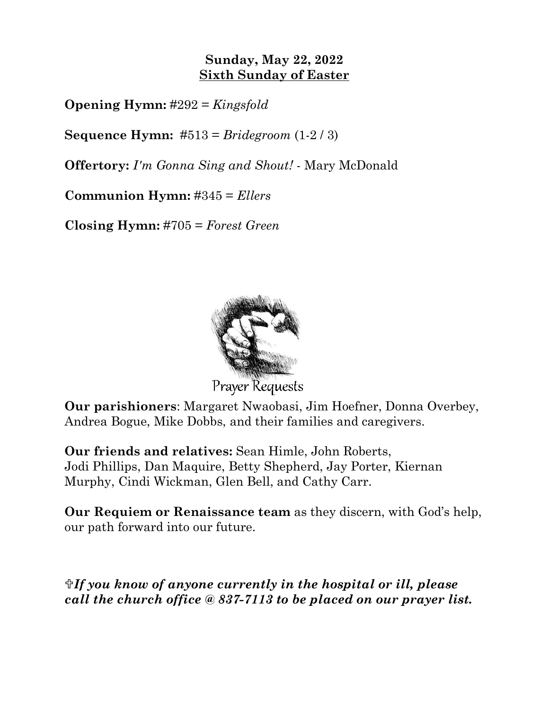# **Sunday, May 22, 2022 Sixth Sunday of Easter**

**Opening Hymn:** #292 = *Kingsfold*

**Sequence Hymn:** #513 = *Bridegroom* (1-2 / 3)

**Offertory:** *I'm Gonna Sing and Shout!* - Mary McDonald

**Communion Hymn:** #345 = *Ellers*

**Closing Hymn:** #705 = *Forest Green*



**Prayer Requests** 

**Our parishioners**: Margaret Nwaobasi, Jim Hoefner, Donna Overbey, Andrea Bogue, Mike Dobbs, and their families and caregivers.

**Our friends and relatives:** Sean Himle, John Roberts, Jodi Phillips, Dan Maquire, Betty Shepherd, Jay Porter, Kiernan Murphy, Cindi Wickman, Glen Bell, and Cathy Carr.

**Our Requiem or Renaissance team** as they discern, with God's help, our path forward into our future.

*If you know of anyone currently in the hospital or ill, please call the church office @ 837-7113 to be placed on our prayer list.*